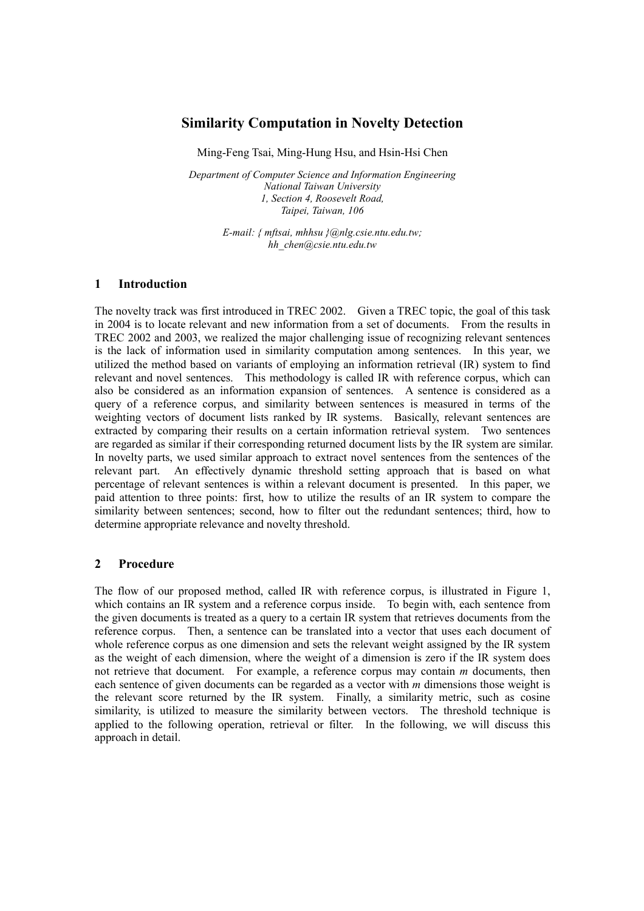# **Similarity Computation in Novelty Detection**

Ming-Feng Tsai, Ming-Hung Hsu, and Hsin-Hsi Chen

*Department of Computer Science and Information Engineering National Taiwan University 1, Section 4, Roosevelt Road, Taipei, Taiwan, 106*

> *E-mail: { mftsai, mhhsu }@nlg.csie.ntu.edu.tw; hh\_chen@csie.ntu.edu.tw*

## **1 Introduction**

The novelty track was first introduced in TREC 2002. Given a TREC topic, the goal of this task in 2004 is to locate relevant and new information from a set of documents. From the results in TREC 2002 and 2003, we realized the major challenging issue of recognizing relevant sentences is the lack of information used in similarity computation among sentences. In this year, we utilized the method based on variants of employing an information retrieval (IR) system to find relevant and novel sentences. This methodology is called IR with reference corpus, which can also be considered as an information expansion of sentences. A sentence is considered as a query of a reference corpus, and similarity between sentences is measured in terms of the weighting vectors of document lists ranked by IR systems. Basically, relevant sentences are extracted by comparing their results on a certain information retrieval system. Two sentences are regarded as similar if their corresponding returned document lists by the IR system are similar. In novelty parts, we used similar approach to extract novel sentences from the sentences of the relevant part. An effectively dynamic threshold setting approach that is based on what percentage of relevant sentences is within a relevant document is presented. In this paper, we paid attention to three points: first, how to utilize the results of an IR system to compare the similarity between sentences; second, how to filter out the redundant sentences; third, how to determine appropriate relevance and novelty threshold.

# **2 Procedure**

The flow of our proposed method, called IR with reference corpus, is illustrated in Figure 1, which contains an IR system and a reference corpus inside. To begin with, each sentence from the given documents is treated as a query to a certain IR system that retrieves documents from the reference corpus. Then, a sentence can be translated into a vector that uses each document of whole reference corpus as one dimension and sets the relevant weight assigned by the IR system as the weight of each dimension, where the weight of a dimension is zero if the IR system does not retrieve that document. For example, a reference corpus may contain *m* documents, then each sentence of given documents can be regarded as a vector with *m* dimensions those weight is the relevant score returned by the IR system. Finally, a similarity metric, such as cosine similarity, is utilized to measure the similarity between vectors. The threshold technique is applied to the following operation, retrieval or filter. In the following, we will discuss this approach in detail.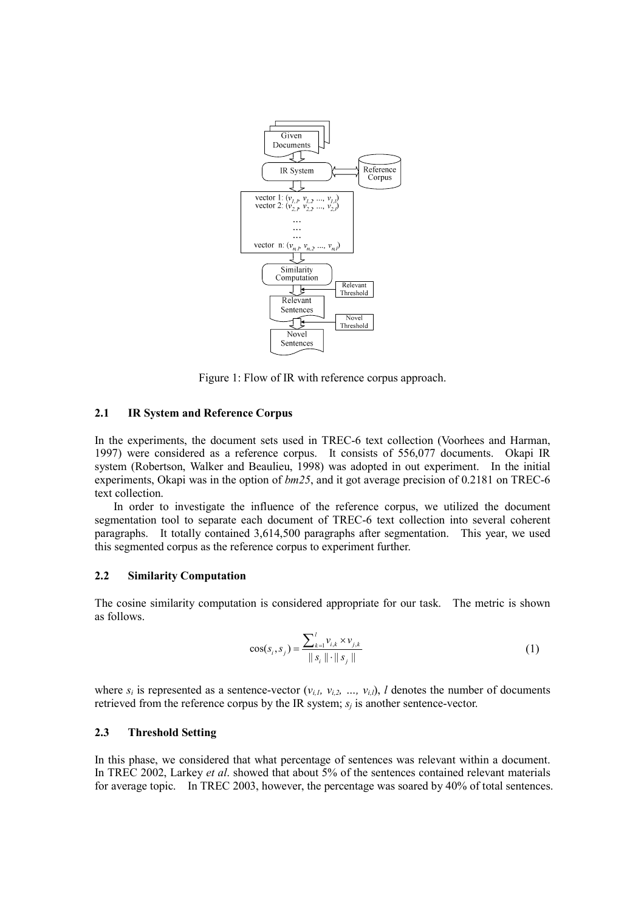

Figure 1: Flow of IR with reference corpus approach.

#### **2.1 IR System and Reference Corpus**

In the experiments, the document sets used in TREC-6 text collection (Voorhees and Harman, 1997) were considered as a reference corpus. It consists of 556,077 documents. Okapi IR system (Robertson, Walker and Beaulieu, 1998) was adopted in out experiment. In the initial experiments, Okapi was in the option of *bm25*, and it got average precision of 0.2181 on TREC-6 text collection.

In order to investigate the influence of the reference corpus, we utilized the document segmentation tool to separate each document of TREC-6 text collection into several coherent paragraphs. It totally contained 3,614,500 paragraphs after segmentation. This year, we used this segmented corpus as the reference corpus to experiment further.

## **2.2 Similarity Computation**

The cosine similarity computation is considered appropriate for our task. The metric is shown as follows.

$$
\cos(s_i, s_j) = \frac{\sum_{k=1}^{j} v_{i,k} \times v_{j,k}}{\|s_i\| \cdot \|s_j\|}
$$
 (1)

where  $s_i$  is represented as a sentence-vector  $(v_{i,l}, v_{i,2}, ..., v_{i,l})$ , *l* denotes the number of documents retrieved from the reference corpus by the IR system;  $s_i$  is another sentence-vector.

## **2.3 Threshold Setting**

In this phase, we considered that what percentage of sentences was relevant within a document. In TREC 2002, Larkey *et al*. showed that about 5% of the sentences contained relevant materials for average topic. In TREC 2003, however, the percentage was soared by 40% of total sentences.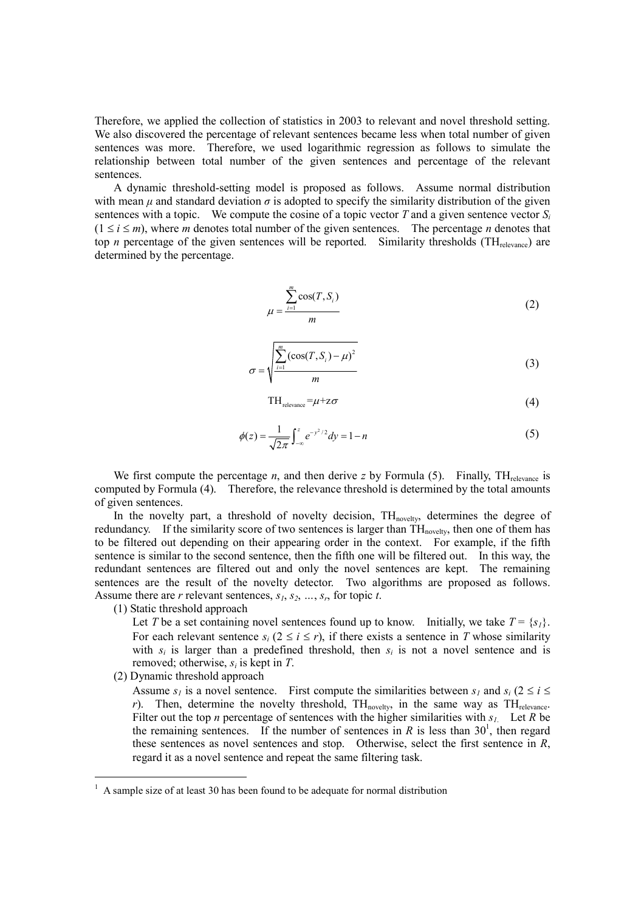Therefore, we applied the collection of statistics in 2003 to relevant and novel threshold setting. We also discovered the percentage of relevant sentences became less when total number of given sentences was more. Therefore, we used logarithmic regression as follows to simulate the relationship between total number of the given sentences and percentage of the relevant sentences.

A dynamic threshold-setting model is proposed as follows. Assume normal distribution with mean  $\mu$  and standard deviation  $\sigma$  is adopted to specify the similarity distribution of the given sentences with a topic. We compute the cosine of a topic vector  $T$  and a given sentence vector  $S_i$  $(1 \le i \le m)$ , where *m* denotes total number of the given sentences. The percentage *n* denotes that top *n* percentage of the given sentences will be reported. Similarity thresholds (TH<sub>relevance</sub>) are determined by the percentage.

$$
\mu = \frac{\sum_{i=1}^{m} \cos(T, S_i)}{m} \tag{2}
$$

$$
\sigma = \sqrt{\frac{\sum_{i=1}^{m} (\cos(T, S_i) - \mu)^2}{m}}
$$
\n(3)

$$
TH_{relevance} = \mu + z\sigma \tag{4}
$$

$$
\phi(z) = \frac{1}{\sqrt{2\pi}} \int_{-\infty}^{z} e^{-y^2/2} dy = 1 - n
$$
\n(5)

We first compute the percentage *n*, and then derive *z* by Formula (5). Finally, TH<sub>relevance is</sub> computed by Formula (4). Therefore, the relevance threshold is determined by the total amounts of given sentences.

In the novelty part, a threshold of novelty decision, TH<sub>novelty</sub>, determines the degree of redundancy. If the similarity score of two sentences is larger than TH<sub>novelty</sub>, then one of them has to be filtered out depending on their appearing order in the context. For example, if the fifth sentence is similar to the second sentence, then the fifth one will be filtered out. In this way, the redundant sentences are filtered out and only the novel sentences are kept. The remaining sentences are the result of the novelty detector. Two algorithms are proposed as follows. Assume there are *r* relevant sentences, *s1*, *s2*, *…*, *sr*, for topic *t*.

(1) Static threshold approach

Let *T* be a set containing novel sentences found up to know. Initially, we take  $T = \{s_i\}$ . For each relevant sentence  $s_i$  ( $2 \le i \le r$ ), if there exists a sentence in *T* whose similarity with  $s_i$  is larger than a predefined threshold, then  $s_i$  is not a novel sentence and is removed; otherwise, *si* is kept in *T*.

(2) Dynamic threshold approach

Assume  $s_i$  is a novel sentence. First compute the similarities between  $s_i$  and  $s_i$  ( $2 \le i \le n$ *r*). Then, determine the novelty threshold,  $TH_{novelty}$ , in the same way as  $TH_{relevance}$ . Filter out the top *n* percentage of sentences with the higher similarities with  $s<sub>1</sub>$ . Let *R* be the remaining sentences. If the number of sentences in  $R$  is less than  $30<sup>1</sup>$ , then regard these sentences as novel sentences and stop. Otherwise, select the first sentence in *R*, regard it as a novel sentence and repeat the same filtering task.

 $1$  A sample size of at least 30 has been found to be adequate for normal distribution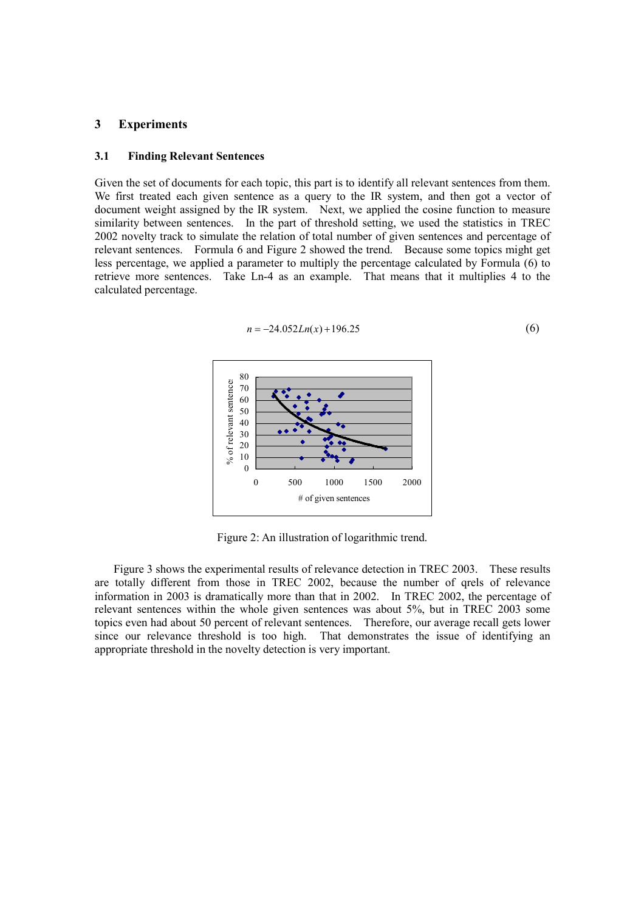#### **3 Experiments**

#### **3.1 Finding Relevant Sentences**

Given the set of documents for each topic, this part is to identify all relevant sentences from them. We first treated each given sentence as a query to the IR system, and then got a vector of document weight assigned by the IR system. Next, we applied the cosine function to measure similarity between sentences. In the part of threshold setting, we used the statistics in TREC 2002 novelty track to simulate the relation of total number of given sentences and percentage of relevant sentences. Formula 6 and Figure 2 showed the trend. Because some topics might get less percentage, we applied a parameter to multiply the percentage calculated by Formula (6) to retrieve more sentences. Take Ln-4 as an example. That means that it multiplies 4 to the calculated percentage.



 $n = -24.052Ln(x) + 196.25$  (6)

Figure 2: An illustration of logarithmic trend.

Figure 3 shows the experimental results of relevance detection in TREC 2003. These results are totally different from those in TREC 2002, because the number of qrels of relevance information in 2003 is dramatically more than that in 2002. In TREC 2002, the percentage of relevant sentences within the whole given sentences was about 5%, but in TREC 2003 some topics even had about 50 percent of relevant sentences. Therefore, our average recall gets lower since our relevance threshold is too high. That demonstrates the issue of identifying an appropriate threshold in the novelty detection is very important.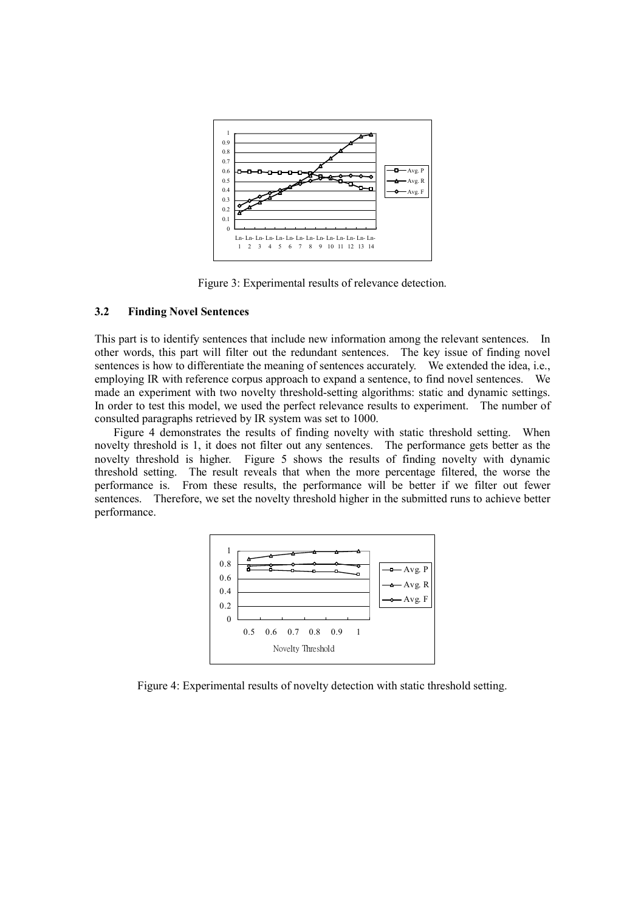

Figure 3: Experimental results of relevance detection.

## **3.2 Finding Novel Sentences**

This part is to identify sentences that include new information among the relevant sentences. In other words, this part will filter out the redundant sentences. The key issue of finding novel sentences is how to differentiate the meaning of sentences accurately. We extended the idea, i.e., employing IR with reference corpus approach to expand a sentence, to find novel sentences. We made an experiment with two novelty threshold-setting algorithms: static and dynamic settings. In order to test this model, we used the perfect relevance results to experiment. The number of consulted paragraphs retrieved by IR system was set to 1000.

Figure 4 demonstrates the results of finding novelty with static threshold setting. When novelty threshold is 1, it does not filter out any sentences. The performance gets better as the novelty threshold is higher. Figure 5 shows the results of finding novelty with dynamic threshold setting. The result reveals that when the more percentage filtered, the worse the performance is. From these results, the performance will be better if we filter out fewer sentences. Therefore, we set the novelty threshold higher in the submitted runs to achieve better performance.



Figure 4: Experimental results of novelty detection with static threshold setting.